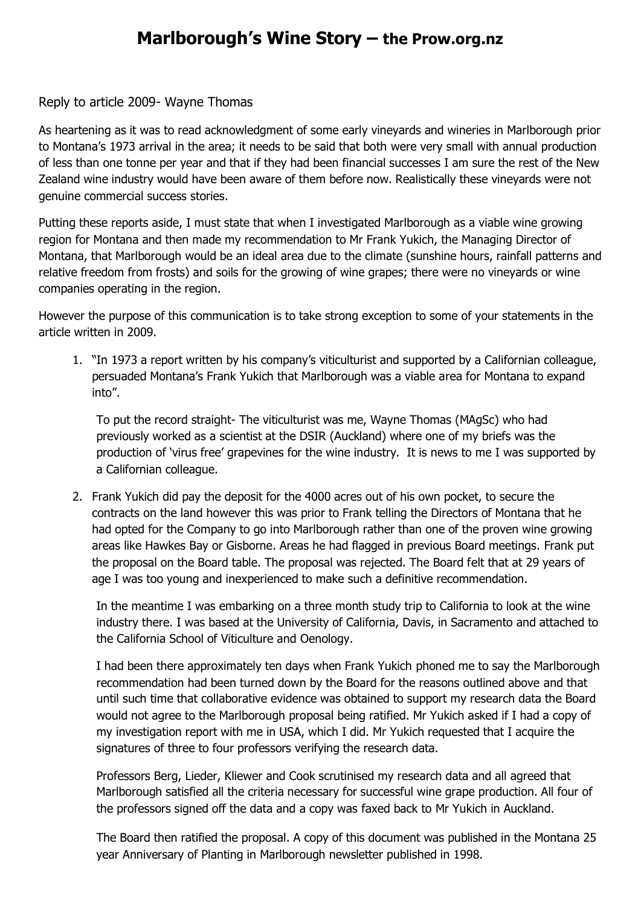## **Marlborough's Wine Story – the Prow.org.nz**

## Reply to article 2009- Wayne Thomas

As heartening as it was to read acknowledgment of some early vineyards and wineries in Marlborough prior to Montana's 1973 arrival in the area; it needs to be said that both were very small with annual production of less than one tonne per year and that if they had been financial successes I am sure the rest of the New Zealand wine industry would have been aware of them before now. Realistically these vineyards were not genuine commercial success stories.

Putting these reports aside, I must state that when I investigated Marlborough as a viable wine growing region for Montana and then made my recommendation to Mr Frank Yukich, the Managing Director of Montana, that Marlborough would be an ideal area due to the climate (sunshine hours, rainfall patterns and relative freedom from frosts) and soils for the growing of wine grapes; there were no vineyards or wine companies operating in the region.

However the purpose of this communication is to take strong exception to some of your statements in the article written in 2009.

1. "In 1973 a report written by his company's viticulturist and supported by a Californian colleague, persuaded Montana's Frank Yukich that Marlborough was a viable area for Montana to expand into".

To put the record straight- The viticulturist was me, Wayne Thomas (MAgSc) who had previously worked as a scientist at the DSIR (Auckland) where one of my briefs was the production of 'virus free' grapevines for the wine industry. It is news to me I was supported by a Californian colleague.

2. Frank Yukich did pay the deposit for the 4000 acres out of his own pocket, to secure the contracts on the land however this was prior to Frank telling the Directors of Montana that he had opted for the Company to go into Marlborough rather than one of the proven wine growing areas like Hawkes Bay or Gisborne. Areas he had flagged in previous Board meetings. Frank put the proposal on the Board table. The proposal was rejected. The Board felt that at 29 years of age I was too young and inexperienced to make such a definitive recommendation.

In the meantime I was embarking on a three month study trip to California to look at the wine industry there. I was based at the University of California, Davis, in Sacramento and attached to the California School of Viticulture and Oenology.

I had been there approximately ten days when Frank Yukich phoned me to say the Marlborough recommendation had been turned down by the Board for the reasons outlined above and that until such time that collaborative evidence was obtained to support my research data the Board would not agree to the Marlborough proposal being ratified. Mr Yukich asked if I had a copy of my investigation report with me in USA, which I did. Mr Yukich requested that I acquire the signatures of three to four professors verifying the research data.

Professors Berg, Lieder, Kliewer and Cook scrutinised my research data and all agreed that Marlborough satisfied all the criteria necessary for successful wine grape production. All four of the professors signed off the data and a copy was faxed back to Mr Yukich in Auckland.

The Board then ratified the proposal. A copy of this document was published in the Montana 25 year Anniversary of Planting in Marlborough newsletter published in 1998.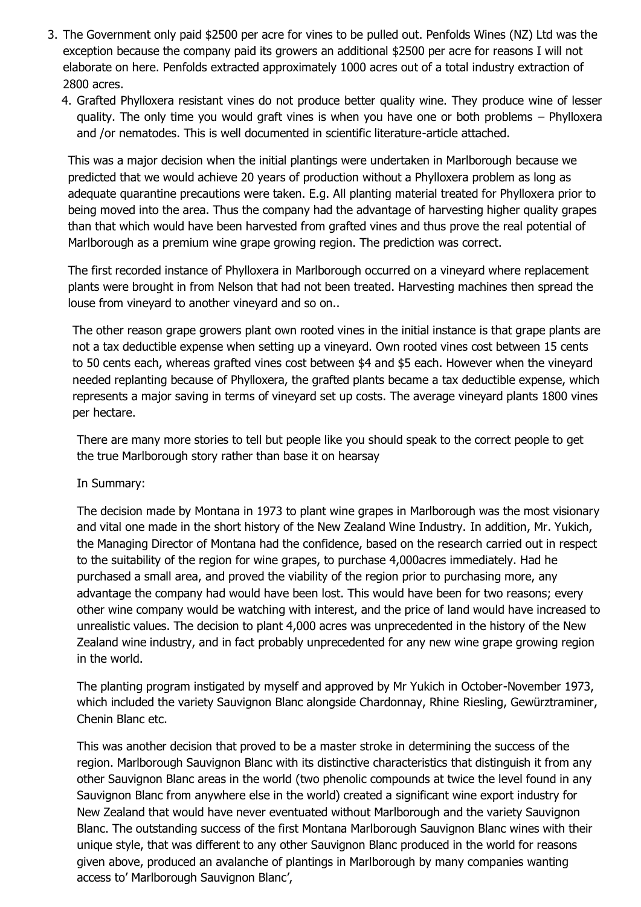- 3. The Government only paid \$2500 per acre for vines to be pulled out. Penfolds Wines (NZ) Ltd was the exception because the company paid its growers an additional \$2500 per acre for reasons I will not elaborate on here. Penfolds extracted approximately 1000 acres out of a total industry extraction of 2800 acres.
	- 4. Grafted Phylloxera resistant vines do not produce better quality wine. They produce wine of lesser quality. The only time you would graft vines is when you have one or both problems – Phylloxera and /or nematodes. This is well documented in scientific literature-article attached.

This was a major decision when the initial plantings were undertaken in Marlborough because we predicted that we would achieve 20 years of production without a Phylloxera problem as long as adequate quarantine precautions were taken. E.g. All planting material treated for Phylloxera prior to being moved into the area. Thus the company had the advantage of harvesting higher quality grapes than that which would have been harvested from grafted vines and thus prove the real potential of Marlborough as a premium wine grape growing region. The prediction was correct.

The first recorded instance of Phylloxera in Marlborough occurred on a vineyard where replacement plants were brought in from Nelson that had not been treated. Harvesting machines then spread the louse from vineyard to another vineyard and so on..

The other reason grape growers plant own rooted vines in the initial instance is that grape plants are not a tax deductible expense when setting up a vineyard. Own rooted vines cost between 15 cents to 50 cents each, whereas grafted vines cost between \$4 and \$5 each. However when the vineyard needed replanting because of Phylloxera, the grafted plants became a tax deductible expense, which represents a major saving in terms of vineyard set up costs. The average vineyard plants 1800 vines per hectare.

There are many more stories to tell but people like you should speak to the correct people to get the true Marlborough story rather than base it on hearsay

In Summary:

The decision made by Montana in 1973 to plant wine grapes in Marlborough was the most visionary and vital one made in the short history of the New Zealand Wine Industry. In addition, Mr. Yukich, the Managing Director of Montana had the confidence, based on the research carried out in respect to the suitability of the region for wine grapes, to purchase 4,000acres immediately. Had he purchased a small area, and proved the viability of the region prior to purchasing more, any advantage the company had would have been lost. This would have been for two reasons; every other wine company would be watching with interest, and the price of land would have increased to unrealistic values. The decision to plant 4,000 acres was unprecedented in the history of the New Zealand wine industry, and in fact probably unprecedented for any new wine grape growing region in the world.

The planting program instigated by myself and approved by Mr Yukich in October-November 1973, which included the variety Sauvignon Blanc alongside Chardonnay, Rhine Riesling, Gewürztraminer, Chenin Blanc etc.

This was another decision that proved to be a master stroke in determining the success of the region. Marlborough Sauvignon Blanc with its distinctive characteristics that distinguish it from any other Sauvignon Blanc areas in the world (two phenolic compounds at twice the level found in any Sauvignon Blanc from anywhere else in the world) created a significant wine export industry for New Zealand that would have never eventuated without Marlborough and the variety Sauvignon Blanc. The outstanding success of the first Montana Marlborough Sauvignon Blanc wines with their unique style, that was different to any other Sauvignon Blanc produced in the world for reasons given above, produced an avalanche of plantings in Marlborough by many companies wanting access to' Marlborough Sauvignon Blanc',